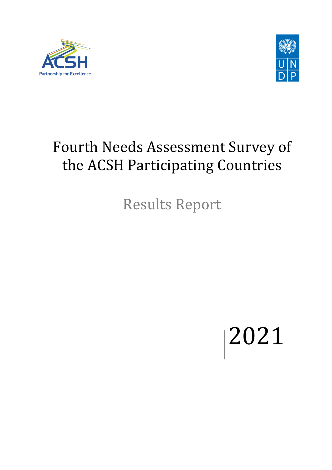



## Fourth Needs Assessment Survey of the ACSH Participating Countries

Results Report

2021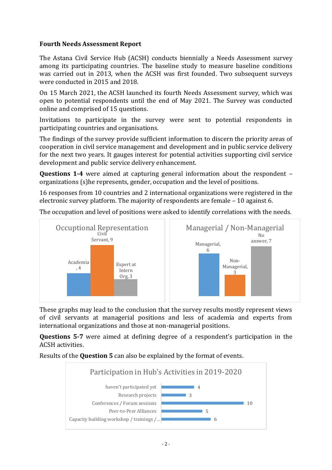## **Fourth Needs Assessment Report**

The Astana Civil Service Hub (ACSH) conducts biennially a Needs Assessment survey among its participating countries. The baseline study to measure baseline conditions was carried out in 2013, when the ACSH was first founded. Two subsequent surveys were conducted in 2015 and 2018.

On 15 March 2021, the ACSH launched its fourth Needs Assessment survey, which was open to potential respondents until the end of May 2021. The Survey was conducted online and comprised of 15 questions.

Invitations to participate in the survey were sent to potential respondents in participating countries and organisations.

The findings of the survey provide sufficient information to discern the priority areas of cooperation in civil service management and development and in public service delivery for the next two years. It gauges interest for potential activities supporting civil service development and public service delivery enhancement.

**Questions 1-4** were aimed at capturing general information about the respondent – organizations (s)he represents, gender, occupation and the level of positions.

16 responses from 10 countries and 2 international organizations were registered in the electronic survey platform. The majority of respondents are female – 10 against 6.



The occupation and level of positions were asked to identify correlations with the needs.

These graphs may lead to the conclusion that the survey results mostly represent views of civil servants at managerial positions and less of academia and experts from international organizations and those at non-managerial positions.

**Questions 5-7** were aimed at defining degree of a respondent's participation in the ACSH activities.

Results of the **Question 5** can also be explained by the format of events.

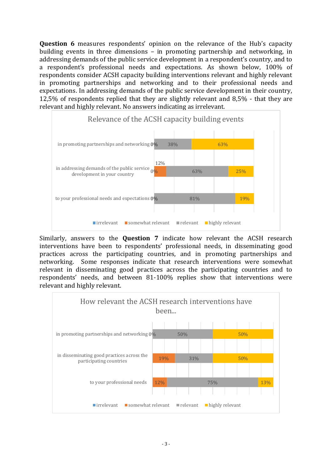**Question 6** measures respondents' opinion on the relevance of the Hub's capacity building events in three dimensions – in promoting partnership and networking, in addressing demands of the public service development in a respondent's country, and to a respondent's professional needs and expectations. As shown below, 100% of respondents consider ACSH capacity building interventions relevant and highly relevant in promoting partnerships and networking and to their professional needs and expectations. In addressing demands of the public service development in their country, 12,5% of respondents replied that they are slightly relevant and 8,5% - that they are relevant and highly relevant. No answers indicating as irrelevant.



Similarly, answers to the **Question 7** indicate how relevant the ACSH research interventions have been to respondents' professional needs, in disseminating good practices across the participating countries, and in promoting partnerships and networking. Some responses indicate that research interventions were somewhat relevant in disseminating good practices across the participating countries and to respondents' needs, and between 81-100% replies show that interventions were relevant and highly relevant.

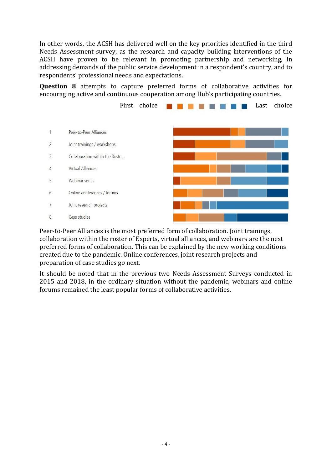In other words, the ACSH has delivered well on the key priorities identified in the third Needs Assessment survey, as the research and capacity building interventions of the ACSH have proven to be relevant in promoting partnership and networking, in addressing demands of the public service development in a respondent's country, and to respondents' professional needs and expectations.

**Question 8** attempts to capture preferred forms of collaborative activities for encouraging active and continuous cooperation among Hub's participating countries.



Peer-to-Peer Alliances is the most preferred form of collaboration. Joint trainings, collaboration within the roster of Experts, virtual alliances, and webinars are the next preferred forms of collaboration. This can be explained by the new working conditions created due to the pandemic. Online conferences, joint research projects and preparation of case studies go next.

It should be noted that in the previous two Needs Assessment Surveys conducted in 2015 and 2018, in the ordinary situation without the pandemic, webinars and online forums remained the least popular forms of collaborative activities.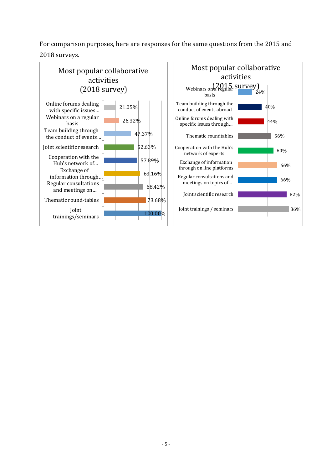For comparison purposes, here are responses for the same questions from the 2015 and

## 2018 surveys.

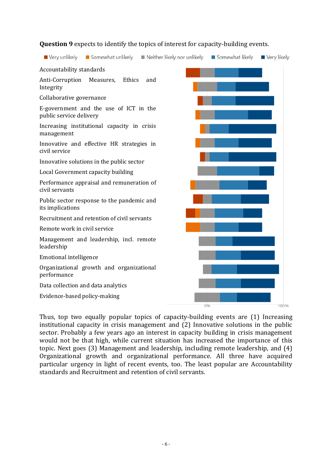

## **Question 9** expects to identify the topics of interest for capacity-building events.

Thus, top two equally popular topics of capacity-building events are (1) Increasing institutional capacity in crisis management and (2) Innovative solutions in the public sector. Probably a few years ago an interest in capacity building in crisis management would not be that high, while current situation has increased the importance of this topic. Next goes (3) Management and leadership, including remote leadership, and (4) Organizational growth and organizational performance. All three have acquired particular urgency in light of recent events, too. The least popular are Accountability standards and Recruitment and retention of civil servants.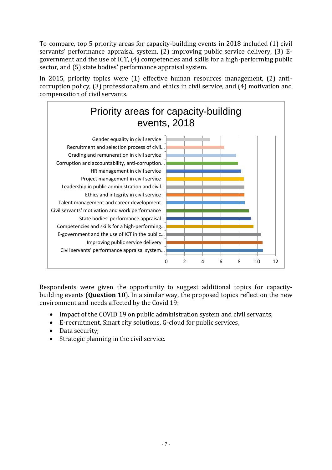To compare, top 5 priority areas for capacity-building events in 2018 included (1) civil servants' performance appraisal system, (2) improving public service delivery, (3) Egovernment and the use of ICT, (4) competencies and skills for a high-performing public sector, and (5) state bodies' performance appraisal system.

In 2015, priority topics were (1) effective human resources management, (2) anticorruption policy, (3) professionalism and ethics in civil service, and (4) motivation and compensation of civil servants.



Respondents were given the opportunity to suggest additional topics for capacitybuilding events (**Question 10**). In a similar way, the proposed topics reflect on the new environment and needs affected by the Covid 19:

- Impact of the COVID 19 on public administration system and civil servants;
- E-recruitment, Smart city solutions, G-cloud for public services,
- Data security;
- Strategic planning in the civil service.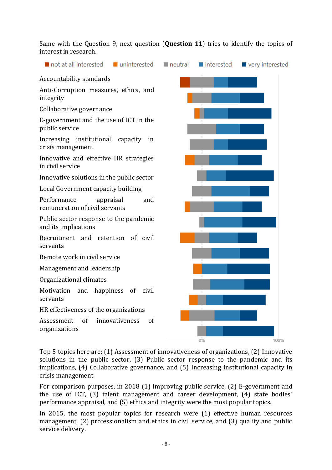Same with the Question 9, next question (**Question 11**) tries to identify the topics of interest in research.



Top 5 topics here are: (1) Assessment of innovativeness of organizations, (2) Innovative solutions in the public sector, (3) Public sector response to the pandemic and its implications, (4) Collaborative governance, and (5) Increasing institutional capacity in crisis management.

For comparison purposes, in 2018 (1) Improving public service, (2) E-government and the use of ICT, (3) talent management and career development, (4) state bodies' performance appraisal, and (5) ethics and integrity were the most popular topics.

In 2015, the most popular topics for research were (1) effective human resources management, (2) professionalism and ethics in civil service, and (3) quality and public service delivery.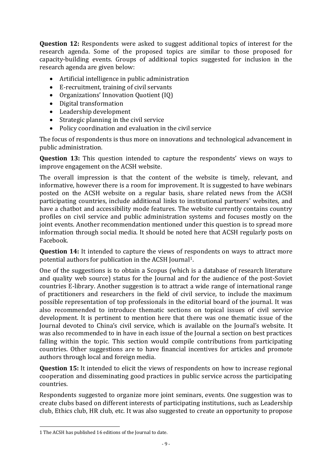**Question 12:** Respondents were asked to suggest additional topics of interest for the research agenda. Some of the proposed topics are similar to those proposed for capacity-building events. Groups of additional topics suggested for inclusion in the research agenda are given below:

- Artificial intelligence in public administration
- E-recruitment, training of civil servants
- Organizations' Innovation Quotient (IQ)
- Digital transformation
- Leadership development
- Strategic planning in the civil service
- Policy coordination and evaluation in the civil service

The focus of respondents is thus more on innovations and technological advancement in public administration.

**Question 13:** This question intended to capture the respondents' views on ways to improve engagement on the ACSH website.

The overall impression is that the content of the website is timely, relevant, and informative, however there is a room for improvement. It is suggested to have webinars posted on the ACSH website on a regular basis, share related news from the ACSH participating countries, include additional links to institutional partners' websites, and have a chatbot and accessibility mode features. The website currently contains country profiles on civil service and public administration systems and focuses mostly on the joint events. Another recommendation mentioned under this question is to spread more information through social media. It should be noted here that ACSH regularly posts on Facebook.

**Question 14:** It intended to capture the views of respondents on ways to attract more potential authors for publication in the ACSH Journal1.

One of the suggestions is to obtain a Scopus (which is a database of research literature and quality web source) status for the Journal and for the audience of the post-Soviet countries E-library. Another suggestion is to attract a wide range of international range of practitioners and researchers in the field of civil service, to include the maximum possible representation of top professionals in the editorial board of the journal. It was also recommended to introduce thematic sections on topical issues of civil service development. It is pertinent to mention here that there was one thematic issue of the Journal devoted to China's civil service, which is available on the Journal's website. It was also recommended to in have in each issue of the Journal a section on best practices falling within the topic. This section would compile contributions from participating countries. Other suggestions are to have financial incentives for articles and promote authors through local and foreign media.

**Question 15:** It intended to elicit the views of respondents on how to increase regional cooperation and disseminating good practices in public service across the participating countries.

Respondents suggested to organize more joint seminars, events. One suggestion was to create clubs based on different interests of participating institutions, such as Leadership club, Ethics club, HR club, etc. It was also suggested to create an opportunity to propose

<sup>1</sup> The ACSH has published 16 editions of the Journal to date.